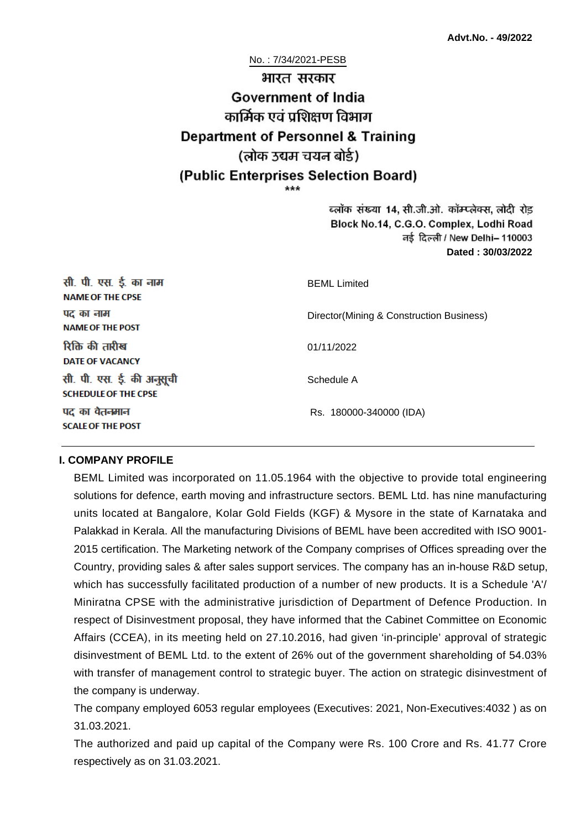No. : 7/34/2021-PESB

# भारत सरकार **Government of India** कार्मिक एवं पशिक्षण विभाग **Department of Personnel & Training** (लोक उद्यम चयन बोर्ड) (Public Enterprises Selection Board)

ब्लॉक संख्या 14, सी.जी.ओ. कॉम्प्लेक्स, लोदी रोड Block No.14, C.G.O. Complex, Lodhi Road ਰई दिल्ली / New Delhi– 110003 **Dated : 30/03/2022**

| सी. पी. एस. ई. का नाम<br><b>NAME OF THE CPSE</b>         | <b>BEML</b> Limited                      |  |
|----------------------------------------------------------|------------------------------------------|--|
| पद का नाम<br><b>NAME OF THE POST</b>                     | Director(Mining & Construction Business) |  |
| रिक्ति की तारीख<br><b>DATE OF VACANCY</b>                | 01/11/2022                               |  |
| सी. पी. एस. ई. की अनुसूची<br><b>SCHEDULE OF THE CPSE</b> | Schedule A                               |  |
| पद का वेतनमान<br><b>SCALE OF THE POST</b>                | Rs. 180000-340000 (IDA)                  |  |

#### **I. COMPANY PROFILE**

BEML Limited was incorporated on 11.05.1964 with the objective to provide total engineering solutions for defence, earth moving and infrastructure sectors. BEML Ltd. has nine manufacturing units located at Bangalore, Kolar Gold Fields (KGF) & Mysore in the state of Karnataka and Palakkad in Kerala. All the manufacturing Divisions of BEML have been accredited with ISO 9001- 2015 certification. The Marketing network of the Company comprises of Offices spreading over the Country, providing sales & after sales support services. The company has an in-house R&D setup, which has successfully facilitated production of a number of new products. It is a Schedule 'A'/ Miniratna CPSE with the administrative jurisdiction of Department of Defence Production. In respect of Disinvestment proposal, they have informed that the Cabinet Committee on Economic Affairs (CCEA), in its meeting held on 27.10.2016, had given 'in-principle' approval of strategic disinvestment of BEML Ltd. to the extent of 26% out of the government shareholding of 54.03% with transfer of management control to strategic buyer. The action on strategic disinvestment of the company is underway.

The company employed 6053 regular employees (Executives: 2021, Non-Executives:4032 ) as on 31.03.2021.

The authorized and paid up capital of the Company were Rs. 100 Crore and Rs. 41.77 Crore respectively as on 31.03.2021.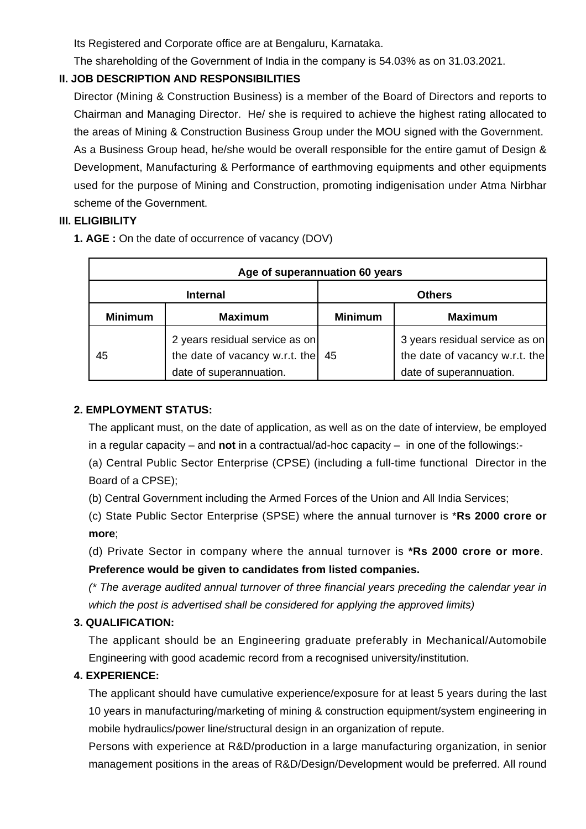Its Registered and Corporate office are at Bengaluru, Karnataka.

The shareholding of the Government of India in the company is 54.03% as on 31.03.2021.

## **II. JOB DESCRIPTION AND RESPONSIBILITIES**

Director (Mining & Construction Business) is a member of the Board of Directors and reports to Chairman and Managing Director. He/ she is required to achieve the highest rating allocated to the areas of Mining & Construction Business Group under the MOU signed with the Government. As a Business Group head, he/she would be overall responsible for the entire gamut of Design & Development, Manufacturing & Performance of earthmoving equipments and other equipments used for the purpose of Mining and Construction, promoting indigenisation under Atma Nirbhar scheme of the Government.

## **III. ELIGIBILITY**

**1. AGE :** On the date of occurrence of vacancy (DOV)

| Age of superannuation 60 years |                                                                                             |                |                                                                                             |  |
|--------------------------------|---------------------------------------------------------------------------------------------|----------------|---------------------------------------------------------------------------------------------|--|
| <b>Internal</b>                |                                                                                             | <b>Others</b>  |                                                                                             |  |
| <b>Minimum</b>                 | <b>Maximum</b>                                                                              | <b>Minimum</b> | <b>Maximum</b>                                                                              |  |
| 45                             | 2 years residual service as on<br>the date of vacancy w.r.t. the<br>date of superannuation. | 45             | 3 years residual service as on<br>the date of vacancy w.r.t. the<br>date of superannuation. |  |

## **2. EMPLOYMENT STATUS:**

The applicant must, on the date of application, as well as on the date of interview, be employed in a regular capacity – and **not** in a contractual/ad-hoc capacity – in one of the followings:-

(a) Central Public Sector Enterprise (CPSE) (including a full-time functional Director in the Board of a CPSE);

(b) Central Government including the Armed Forces of the Union and All India Services;

(c) State Public Sector Enterprise (SPSE) where the annual turnover is \***Rs 2000 crore or more**;

(d) Private Sector in company where the annual turnover is **\*Rs 2000 crore or more**. **Preference would be given to candidates from listed companies.**

(\* The average audited annual turnover of three financial years preceding the calendar year in which the post is advertised shall be considered for applying the approved limits)

## **3. QUALIFICATION:**

The applicant should be an Engineering graduate preferably in Mechanical/Automobile Engineering with good academic record from a recognised university/institution.

## **4. EXPERIENCE:**

The applicant should have cumulative experience/exposure for at least 5 years during the last 10 years in manufacturing/marketing of mining & construction equipment/system engineering in mobile hydraulics/power line/structural design in an organization of repute.

Persons with experience at R&D/production in a large manufacturing organization, in senior management positions in the areas of R&D/Design/Development would be preferred. All round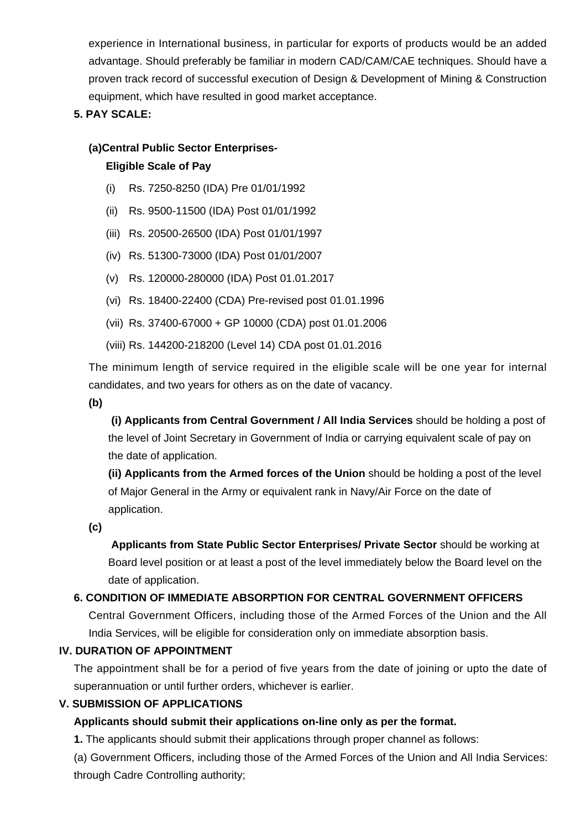experience in International business, in particular for exports of products would be an added advantage. Should preferably be familiar in modern CAD/CAM/CAE techniques. Should have a proven track record of successful execution of Design & Development of Mining & Construction equipment, which have resulted in good market acceptance.

## **5. PAY SCALE:**

#### **(a)Central Public Sector Enterprises-**

#### **Eligible Scale of Pay**

- (i) Rs. 7250-8250 (IDA) Pre 01/01/1992
- (ii) Rs. 9500-11500 (IDA) Post 01/01/1992
- (iii) Rs. 20500-26500 (IDA) Post 01/01/1997
- (iv) Rs. 51300-73000 (IDA) Post 01/01/2007
- (v) Rs. 120000-280000 (IDA) Post 01.01.2017
- (vi) Rs. 18400-22400 (CDA) Pre-revised post 01.01.1996
- (vii) Rs. 37400-67000 + GP 10000 (CDA) post 01.01.2006
- (viii) Rs. 144200-218200 (Level 14) CDA post 01.01.2016

The minimum length of service required in the eligible scale will be one year for internal candidates, and two years for others as on the date of vacancy.

**(b)**

**(i) Applicants from Central Government / All India Services** should be holding a post of the level of Joint Secretary in Government of India or carrying equivalent scale of pay on the date of application.

**(ii) Applicants from the Armed forces of the Union** should be holding a post of the level of Major General in the Army or equivalent rank in Navy/Air Force on the date of application.

**(c)**

 **Applicants from State Public Sector Enterprises/ Private Sector** should be working at Board level position or at least a post of the level immediately below the Board level on the date of application.

#### **6. CONDITION OF IMMEDIATE ABSORPTION FOR CENTRAL GOVERNMENT OFFICERS**

Central Government Officers, including those of the Armed Forces of the Union and the All India Services, will be eligible for consideration only on immediate absorption basis.

#### **IV. DURATION OF APPOINTMENT**

The appointment shall be for a period of five years from the date of joining or upto the date of superannuation or until further orders, whichever is earlier.

#### **V. SUBMISSION OF APPLICATIONS**

## **Applicants should submit their applications on-line only as per the format.**

**1.** The applicants should submit their applications through proper channel as follows:

(a) Government Officers, including those of the Armed Forces of the Union and All India Services: through Cadre Controlling authority;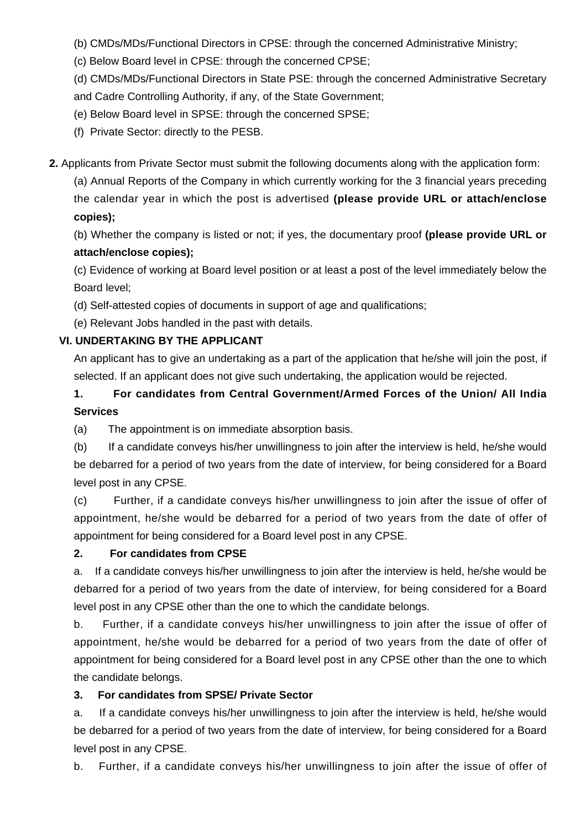(b) CMDs/MDs/Functional Directors in CPSE: through the concerned Administrative Ministry;

(c) Below Board level in CPSE: through the concerned CPSE;

(d) CMDs/MDs/Functional Directors in State PSE: through the concerned Administrative Secretary and Cadre Controlling Authority, if any, of the State Government;

## (e) Below Board level in SPSE: through the concerned SPSE;

(f) Private Sector: directly to the PESB.

**2.** Applicants from Private Sector must submit the following documents along with the application form:

(a) Annual Reports of the Company in which currently working for the 3 financial years preceding the calendar year in which the post is advertised **(please provide URL or attach/enclose copies);**

(b) Whether the company is listed or not; if yes, the documentary proof **(please provide URL or attach/enclose copies);**

(c) Evidence of working at Board level position or at least a post of the level immediately below the Board level;

(d) Self-attested copies of documents in support of age and qualifications;

(e) Relevant Jobs handled in the past with details.

## **VI. UNDERTAKING BY THE APPLICANT**

An applicant has to give an undertaking as a part of the application that he/she will join the post, if selected. If an applicant does not give such undertaking, the application would be rejected.

## **1. For candidates from Central Government/Armed Forces of the Union/ All India Services**

(a) The appointment is on immediate absorption basis.

(b) If a candidate conveys his/her unwillingness to join after the interview is held, he/she would be debarred for a period of two years from the date of interview, for being considered for a Board level post in any CPSE.

(c) Further, if a candidate conveys his/her unwillingness to join after the issue of offer of appointment, he/she would be debarred for a period of two years from the date of offer of appointment for being considered for a Board level post in any CPSE.

#### **2. For candidates from CPSE**

a. If a candidate conveys his/her unwillingness to join after the interview is held, he/she would be debarred for a period of two years from the date of interview, for being considered for a Board level post in any CPSE other than the one to which the candidate belongs.

b. Further, if a candidate conveys his/her unwillingness to join after the issue of offer of appointment, he/she would be debarred for a period of two years from the date of offer of appointment for being considered for a Board level post in any CPSE other than the one to which the candidate belongs.

## **3. For candidates from SPSE/ Private Sector**

a. If a candidate conveys his/her unwillingness to join after the interview is held, he/she would be debarred for a period of two years from the date of interview, for being considered for a Board level post in any CPSE.

b. Further, if a candidate conveys his/her unwillingness to join after the issue of offer of